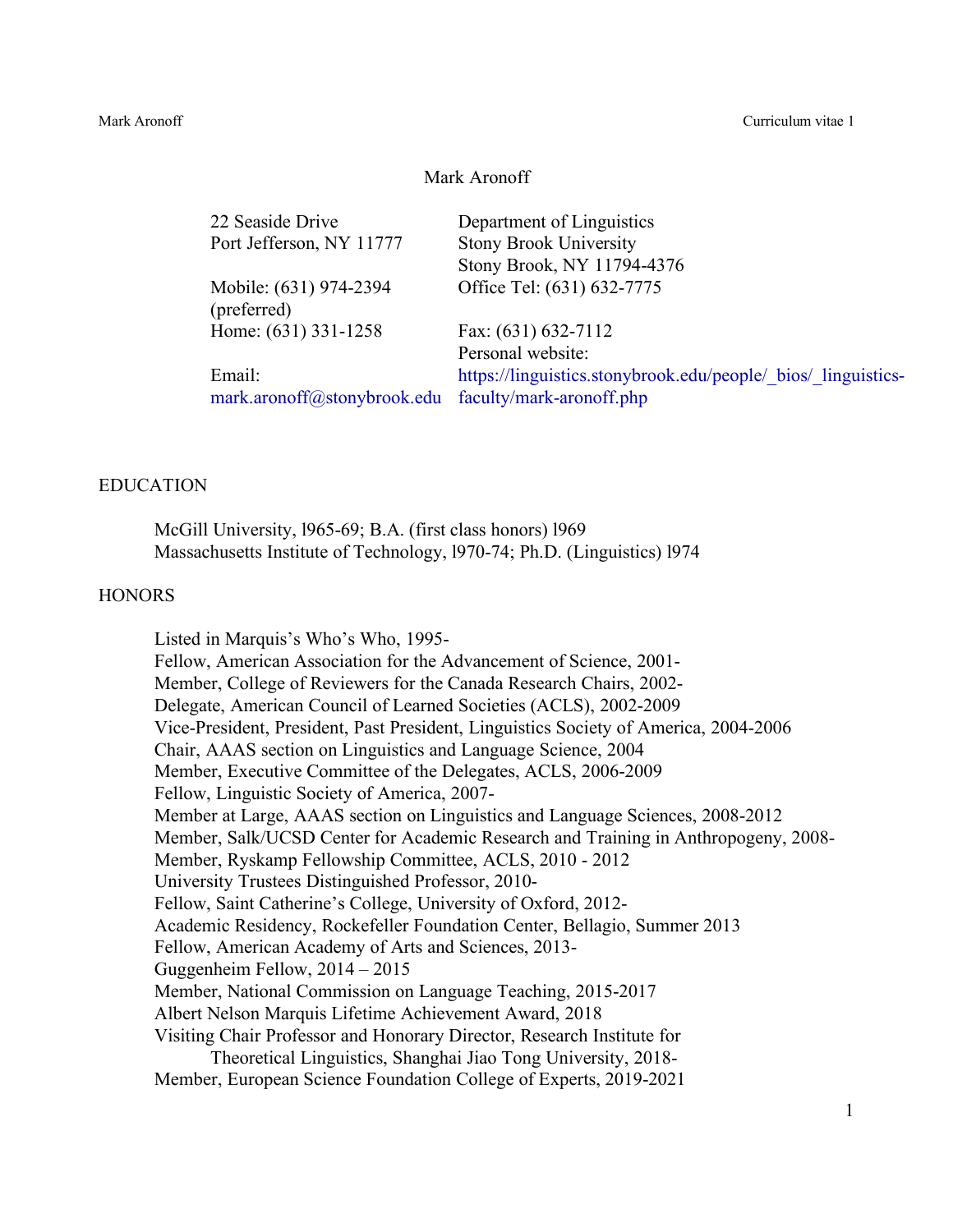Mark Aronoff Curriculum vitae 1

#### Mark Aronoff

22 Seaside Drive Department of Linguistics Port Jefferson, NY 11777 Stony Brook University

Mobile: (631) 974-2394 (preferred) Home: (631) 331-1258 Fax: (631) 632-7112

Email: mark.aronoff@stonybrook.edu faculty/mark-aronoff.php

Stony Brook, NY 11794-4376 Office Tel: (631) 632-7775

Personal website: https://linguistics.stonybrook.edu/people/\_bios/\_linguistics-

#### EDUCATION

McGill University, l965-69; B.A. (first class honors) l969 Massachusetts Institute of Technology, l970-74; Ph.D. (Linguistics) l974

### **HONORS**

Listed in Marquis's Who's Who, 1995- Fellow, American Association for the Advancement of Science, 2001- Member, College of Reviewers for the Canada Research Chairs, 2002- Delegate, American Council of Learned Societies (ACLS), 2002-2009 Vice-President, President, Past President, Linguistics Society of America, 2004-2006 Chair, AAAS section on Linguistics and Language Science, 2004 Member, Executive Committee of the Delegates, ACLS, 2006-2009 Fellow, Linguistic Society of America, 2007- Member at Large, AAAS section on Linguistics and Language Sciences, 2008-2012 Member, Salk/UCSD Center for Academic Research and Training in Anthropogeny, 2008- Member, Ryskamp Fellowship Committee, ACLS, 2010 - 2012 University Trustees Distinguished Professor, 2010- Fellow, Saint Catherine's College, University of Oxford, 2012- Academic Residency, Rockefeller Foundation Center, Bellagio, Summer 2013 Fellow, American Academy of Arts and Sciences, 2013- Guggenheim Fellow, 2014 – 2015 Member, National Commission on Language Teaching, 2015-2017 Albert Nelson Marquis Lifetime Achievement Award, 2018 Visiting Chair Professor and Honorary Director, Research Institute for Theoretical Linguistics, Shanghai Jiao Tong University, 2018- Member, European Science Foundation College of Experts, 2019-2021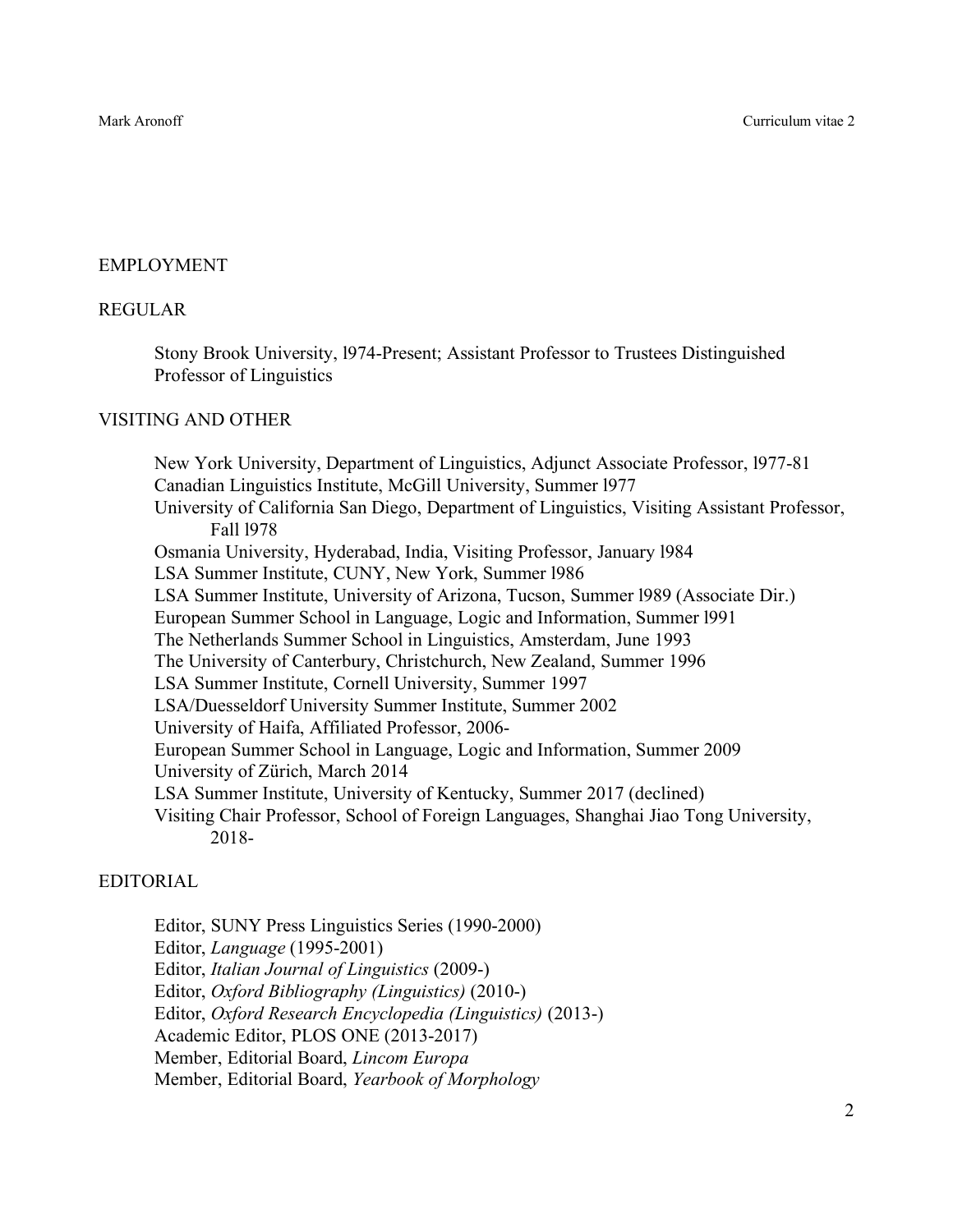# EMPLOYMENT

## REGULAR

Stony Brook University, l974-Present; Assistant Professor to Trustees Distinguished Professor of Linguistics

# VISITING AND OTHER

New York University, Department of Linguistics, Adjunct Associate Professor, l977-81 Canadian Linguistics Institute, McGill University, Summer l977 University of California San Diego, Department of Linguistics, Visiting Assistant Professor, Fall l978 Osmania University, Hyderabad, India, Visiting Professor, January l984 LSA Summer Institute, CUNY, New York, Summer l986 LSA Summer Institute, University of Arizona, Tucson, Summer l989 (Associate Dir.) European Summer School in Language, Logic and Information, Summer l991 The Netherlands Summer School in Linguistics, Amsterdam, June 1993 The University of Canterbury, Christchurch, New Zealand, Summer 1996 LSA Summer Institute, Cornell University, Summer 1997 LSA/Duesseldorf University Summer Institute, Summer 2002 University of Haifa, Affiliated Professor, 2006- European Summer School in Language, Logic and Information, Summer 2009 University of Zürich, March 2014 LSA Summer Institute, University of Kentucky, Summer 2017 (declined) Visiting Chair Professor, School of Foreign Languages, Shanghai Jiao Tong University, 2018-

# EDITORIAL

Editor, SUNY Press Linguistics Series (1990-2000) Editor, *Language* (1995-2001) Editor, *Italian Journal of Linguistics* (2009-)

Editor, *Oxford Bibliography (Linguistics)* (2010-)

Editor, *Oxford Research Encyclopedia (Linguistics)* (2013-)

Academic Editor, PLOS ONE (2013-2017)

Member, Editorial Board, *Lincom Europa*

Member, Editorial Board, *Yearbook of Morphology*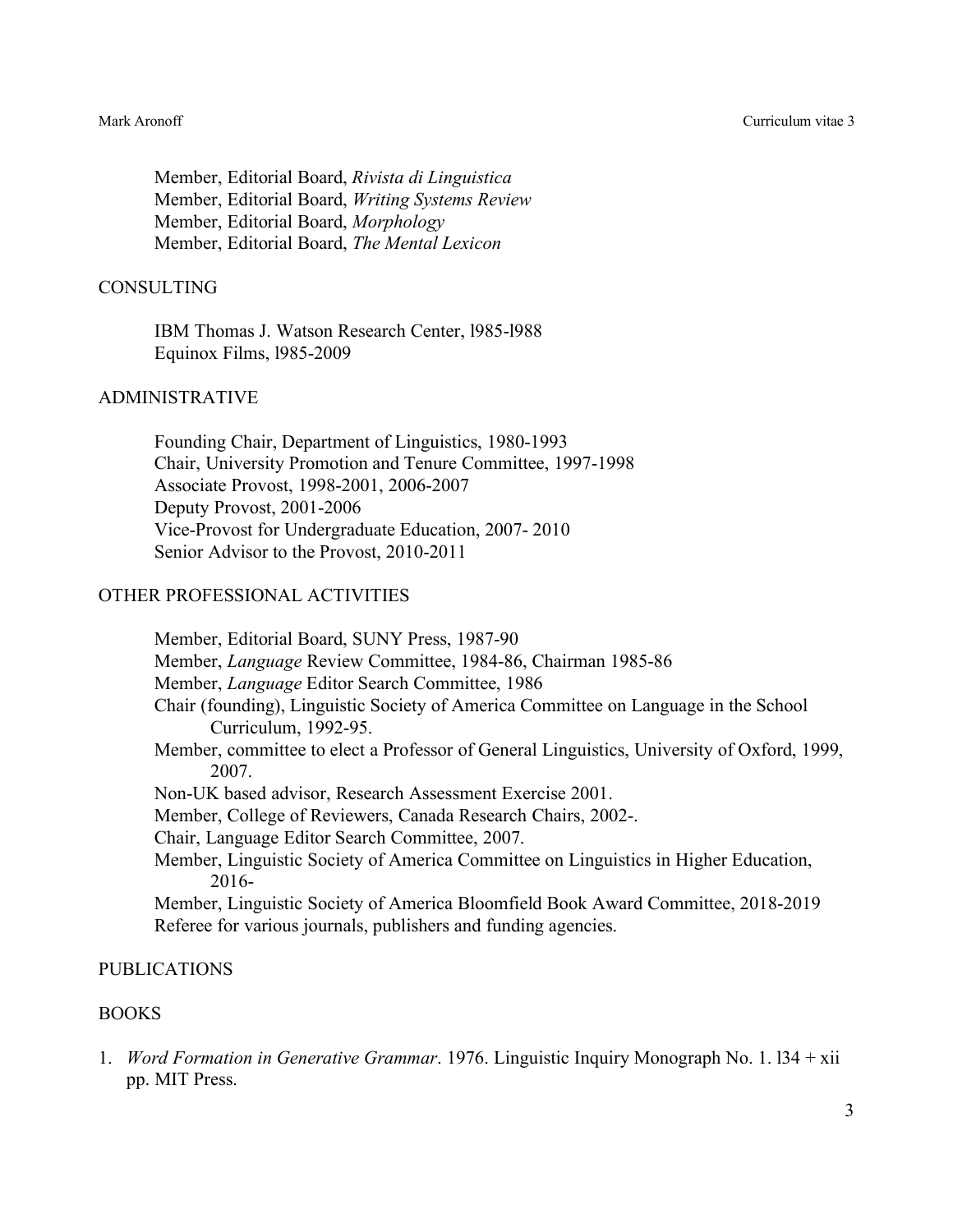Member, Editorial Board, *Rivista di Linguistica* Member, Editorial Board, *Writing Systems Review* Member, Editorial Board, *Morphology* Member, Editorial Board, *The Mental Lexicon*

### CONSULTING

IBM Thomas J. Watson Research Center, l985-l988 Equinox Films, l985-2009

## ADMINISTRATIVE

Founding Chair, Department of Linguistics, 1980-1993 Chair, University Promotion and Tenure Committee, 1997-1998 Associate Provost, 1998-2001, 2006-2007 Deputy Provost, 2001-2006 Vice-Provost for Undergraduate Education, 2007- 2010 Senior Advisor to the Provost, 2010-2011

### OTHER PROFESSIONAL ACTIVITIES

Member, Editorial Board, SUNY Press, 1987-90 Member, *Language* Review Committee, 1984-86, Chairman 1985-86 Member, *Language* Editor Search Committee, 1986 Chair (founding), Linguistic Society of America Committee on Language in the School Curriculum, 1992-95. Member, committee to elect a Professor of General Linguistics, University of Oxford, 1999, 2007. Non-UK based advisor, Research Assessment Exercise 2001. Member, College of Reviewers, Canada Research Chairs, 2002-. Chair, Language Editor Search Committee, 2007. Member, Linguistic Society of America Committee on Linguistics in Higher Education, 2016- Member, Linguistic Society of America Bloomfield Book Award Committee, 2018-2019 Referee for various journals, publishers and funding agencies.

### PUBLICATIONS

#### BOOKS

1. *Word Formation in Generative Grammar*. 1976. Linguistic Inquiry Monograph No. 1. l34 + xii pp. MIT Press.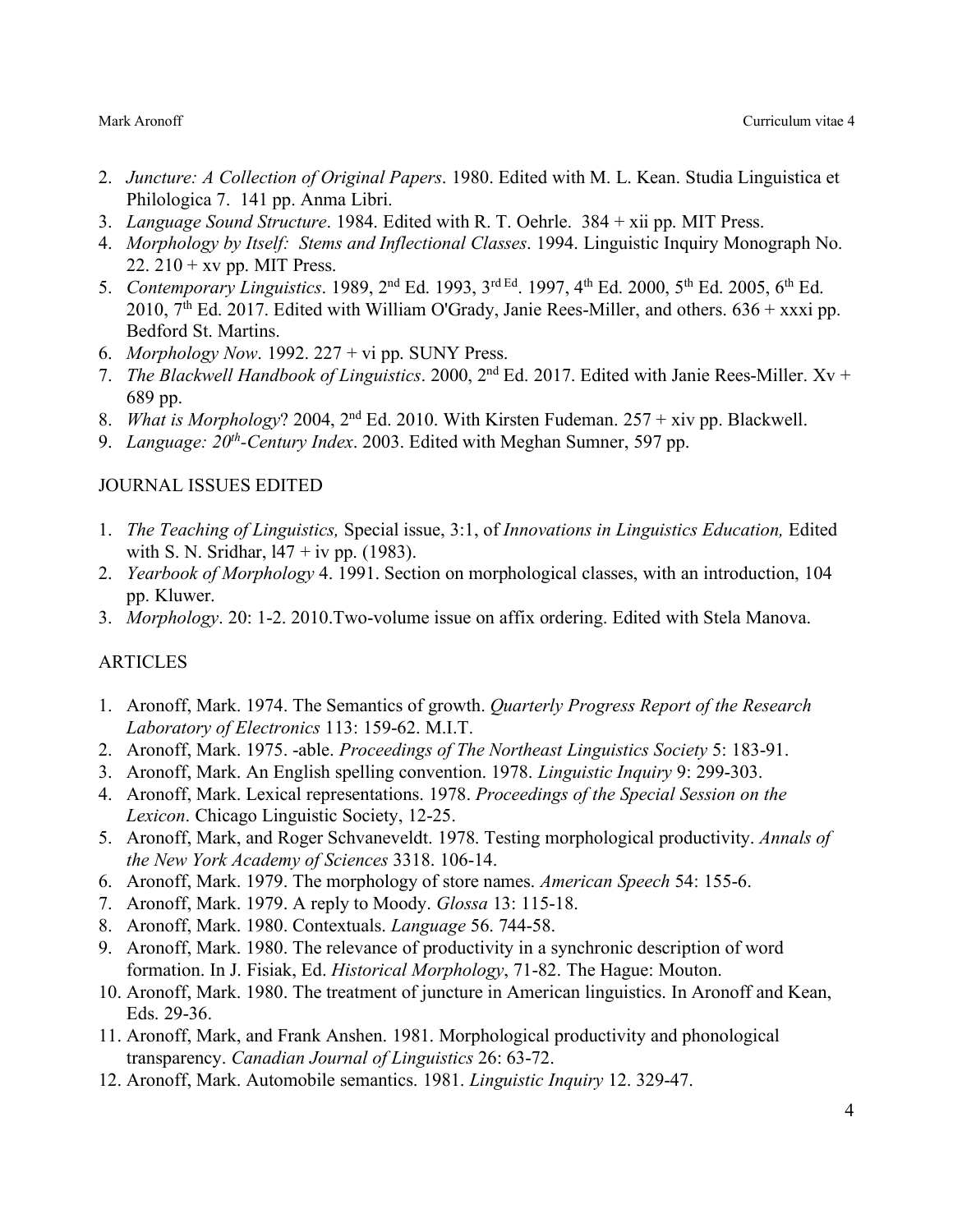- 2. *Juncture: A Collection of Original Papers*. 1980. Edited with M. L. Kean. Studia Linguistica et Philologica 7. 141 pp. Anma Libri.
- 3. *Language Sound Structure*. 1984. Edited with R. T. Oehrle. 384 + xii pp. MIT Press.
- 4. *Morphology by Itself: Stems and Inflectional Classes*. 1994. Linguistic Inquiry Monograph No. 22.  $210 + xy$  pp. MIT Press.
- 5. *Contemporary Linguistics*. 1989, 2nd Ed. 1993, 3rd Ed. 1997, 4th Ed. 2000, 5th Ed. 2005, 6th Ed. 2010,  $7<sup>th</sup>$  Ed. 2017. Edited with William O'Grady, Janie Rees-Miller, and others. 636 + xxxi pp. Bedford St. Martins.
- 6. *Morphology Now*. 1992. 227 + vi pp. SUNY Press.
- 7. *The Blackwell Handbook of Linguistics*. 2000, 2nd Ed. 2017. Edited with Janie Rees-Miller. Xv + 689 pp.
- 8. *What is Morphology*? 2004, 2nd Ed. 2010. With Kirsten Fudeman. 257 + xiv pp. Blackwell.
- 9. *Language: 20<sup>th</sup>-Century Index.* 2003. Edited with Meghan Sumner, 597 pp.

# JOURNAL ISSUES EDITED

- 1. *The Teaching of Linguistics,* Special issue, 3:1, of *Innovations in Linguistics Education,* Edited with S. N. Sridhar,  $147 + i\upsilon$  pp. (1983).
- 2. *Yearbook of Morphology* 4. 1991. Section on morphological classes, with an introduction, 104 pp. Kluwer.
- 3. *Morphology*. 20: 1-2. 2010.Two-volume issue on affix ordering. Edited with Stela Manova.

# ARTICLES

- 1. Aronoff, Mark. 1974. The Semantics of growth. *Quarterly Progress Report of the Research Laboratory of Electronics* 113: 159-62. M.I.T.
- 2. Aronoff, Mark. 1975. -able. *Proceedings of The Northeast Linguistics Society* 5: 183-91.
- 3. Aronoff, Mark. An English spelling convention. 1978. *Linguistic Inquiry* 9: 299-303.
- 4. Aronoff, Mark. Lexical representations. 1978. *Proceedings of the Special Session on the Lexicon*. Chicago Linguistic Society, 12-25.
- 5. Aronoff, Mark, and Roger Schvaneveldt. 1978. Testing morphological productivity. *Annals of the New York Academy of Sciences* 3318. 106-14.
- 6. Aronoff, Mark. 1979. The morphology of store names. *American Speech* 54: 155-6.
- 7. Aronoff, Mark. 1979. A reply to Moody. *Glossa* 13: 115-18.
- 8. Aronoff, Mark. 1980. Contextuals. *Language* 56. 744-58.
- 9. Aronoff, Mark. 1980. The relevance of productivity in a synchronic description of word formation. In J. Fisiak, Ed. *Historical Morphology*, 71-82. The Hague: Mouton.
- 10. Aronoff, Mark. 1980. The treatment of juncture in American linguistics. In Aronoff and Kean, Eds. 29-36.
- 11. Aronoff, Mark, and Frank Anshen. 1981. Morphological productivity and phonological transparency. *Canadian Journal of Linguistics* 26: 63-72.
- 12. Aronoff, Mark. Automobile semantics. 1981. *Linguistic Inquiry* 12. 329-47.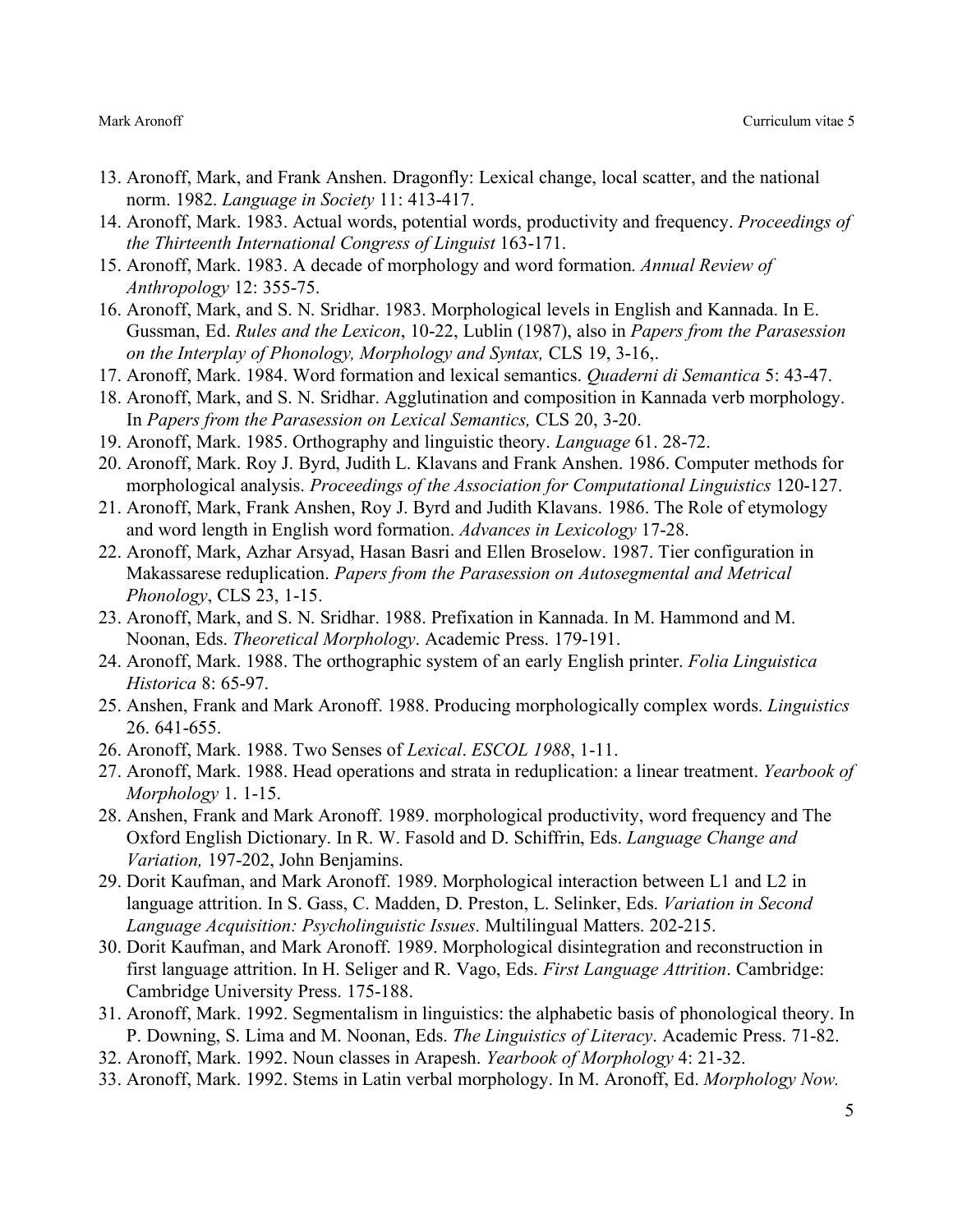- 13. Aronoff, Mark, and Frank Anshen. Dragonfly: Lexical change, local scatter, and the national norm. 1982. *Language in Society* 11: 413-417.
- 14. Aronoff, Mark. 1983. Actual words, potential words, productivity and frequency. *Proceedings of the Thirteenth International Congress of Linguist* 163-171.
- 15. Aronoff, Mark. 1983. A decade of morphology and word formation. *Annual Review of Anthropology* 12: 355-75.
- 16. Aronoff, Mark, and S. N. Sridhar. 1983. Morphological levels in English and Kannada. In E. Gussman, Ed. *Rules and the Lexicon*, 10-22, Lublin (1987), also in *Papers from the Parasession on the Interplay of Phonology, Morphology and Syntax,* CLS 19, 3-16,.
- 17. Aronoff, Mark. 1984. Word formation and lexical semantics. *Quaderni di Semantica* 5: 43-47.
- 18. Aronoff, Mark, and S. N. Sridhar. Agglutination and composition in Kannada verb morphology. In *Papers from the Parasession on Lexical Semantics,* CLS 20, 3-20.
- 19. Aronoff, Mark. 1985. Orthography and linguistic theory. *Language* 61. 28-72.
- 20. Aronoff, Mark. Roy J. Byrd, Judith L. Klavans and Frank Anshen. 1986. Computer methods for morphological analysis. *Proceedings of the Association for Computational Linguistics* 120-127.
- 21. Aronoff, Mark, Frank Anshen, Roy J. Byrd and Judith Klavans. 1986. The Role of etymology and word length in English word formation. *Advances in Lexicology* 17-28.
- 22. Aronoff, Mark, Azhar Arsyad, Hasan Basri and Ellen Broselow. 1987. Tier configuration in Makassarese reduplication. *Papers from the Parasession on Autosegmental and Metrical Phonology*, CLS 23, 1-15.
- 23. Aronoff, Mark, and S. N. Sridhar. 1988. Prefixation in Kannada. In M. Hammond and M. Noonan, Eds. *Theoretical Morphology*. Academic Press. 179-191.
- 24. Aronoff, Mark. 1988. The orthographic system of an early English printer. *Folia Linguistica Historica* 8: 65-97.
- 25. Anshen, Frank and Mark Aronoff. 1988. Producing morphologically complex words. *Linguistics* 26. 641-655.
- 26. Aronoff, Mark. 1988. Two Senses of *Lexical*. *ESCOL 1988*, 1-11.
- 27. Aronoff, Mark. 1988. Head operations and strata in reduplication: a linear treatment. *Yearbook of Morphology* 1. 1-15.
- 28. Anshen, Frank and Mark Aronoff. 1989. morphological productivity, word frequency and The Oxford English Dictionary. In R. W. Fasold and D. Schiffrin, Eds. *Language Change and Variation,* 197-202, John Benjamins.
- 29. Dorit Kaufman, and Mark Aronoff. 1989. Morphological interaction between L1 and L2 in language attrition. In S. Gass, C. Madden, D. Preston, L. Selinker, Eds. *Variation in Second Language Acquisition: Psycholinguistic Issues*. Multilingual Matters. 202-215.
- 30. Dorit Kaufman, and Mark Aronoff. 1989. Morphological disintegration and reconstruction in first language attrition. In H. Seliger and R. Vago, Eds. *First Language Attrition*. Cambridge: Cambridge University Press. 175-188.
- 31. Aronoff, Mark. 1992. Segmentalism in linguistics: the alphabetic basis of phonological theory. In P. Downing, S. Lima and M. Noonan, Eds. *The Linguistics of Literacy*. Academic Press. 71-82.
- 32. Aronoff, Mark. 1992. Noun classes in Arapesh. *Yearbook of Morphology* 4: 21-32.
- 33. Aronoff, Mark. 1992. Stems in Latin verbal morphology. In M. Aronoff, Ed. *Morphology Now.*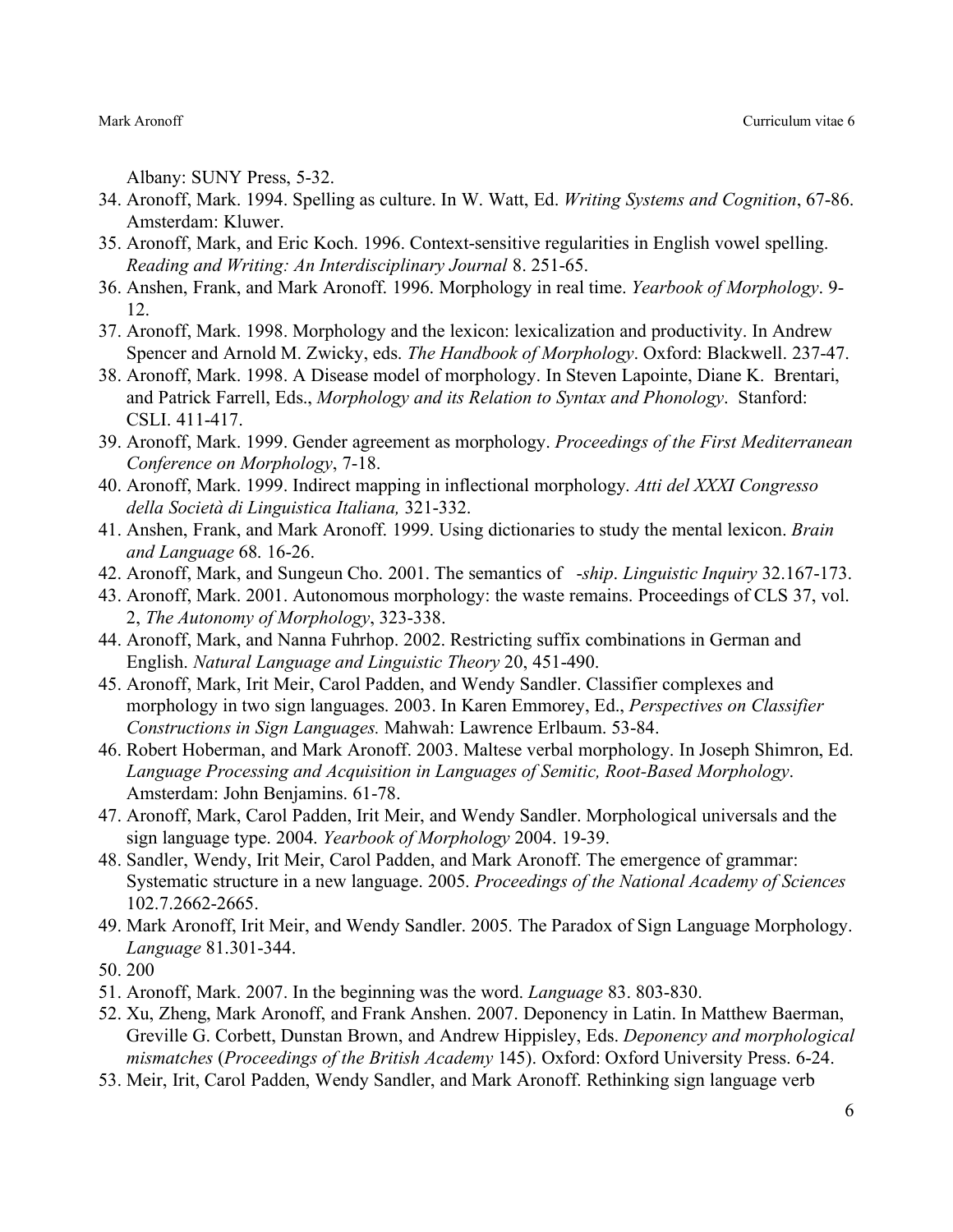Albany: SUNY Press, 5-32.

- 34. Aronoff, Mark. 1994. Spelling as culture. In W. Watt, Ed. *Writing Systems and Cognition*, 67-86. Amsterdam: Kluwer.
- 35. Aronoff, Mark, and Eric Koch. 1996. Context-sensitive regularities in English vowel spelling. *Reading and Writing: An Interdisciplinary Journal* 8. 251-65.
- 36. Anshen, Frank, and Mark Aronoff. 1996. Morphology in real time. *Yearbook of Morphology*. 9- 12.
- 37. Aronoff, Mark. 1998. Morphology and the lexicon: lexicalization and productivity. In Andrew Spencer and Arnold M. Zwicky, eds. *The Handbook of Morphology*. Oxford: Blackwell. 237-47.
- 38. Aronoff, Mark. 1998. A Disease model of morphology. In Steven Lapointe, Diane K. Brentari, and Patrick Farrell, Eds., *Morphology and its Relation to Syntax and Phonology*. Stanford: CSLI. 411-417.
- 39. Aronoff, Mark. 1999. Gender agreement as morphology. *Proceedings of the First Mediterranean Conference on Morphology*, 7-18.
- 40. Aronoff, Mark. 1999. Indirect mapping in inflectional morphology. *Atti del XXXI Congresso della Società di Linguistica Italiana,* 321-332.
- 41. Anshen, Frank, and Mark Aronoff. 1999. Using dictionaries to study the mental lexicon. *Brain and Language* 68. 16-26.
- 42. Aronoff, Mark, and Sungeun Cho. 2001. The semantics of -*ship*. *Linguistic Inquiry* 32.167-173.
- 43. Aronoff, Mark. 2001. Autonomous morphology: the waste remains. Proceedings of CLS 37, vol. 2, *The Autonomy of Morphology*, 323-338.
- 44. Aronoff, Mark, and Nanna Fuhrhop. 2002. Restricting suffix combinations in German and English. *Natural Language and Linguistic Theory* 20, 451-490.
- 45. Aronoff, Mark, Irit Meir, Carol Padden, and Wendy Sandler. Classifier complexes and morphology in two sign languages. 2003. In Karen Emmorey, Ed., *Perspectives on Classifier Constructions in Sign Languages.* Mahwah: Lawrence Erlbaum. 53-84.
- 46. Robert Hoberman, and Mark Aronoff. 2003. Maltese verbal morphology. In Joseph Shimron, Ed. *Language Processing and Acquisition in Languages of Semitic, Root-Based Morphology*. Amsterdam: John Benjamins. 61-78.
- 47. Aronoff, Mark, Carol Padden, Irit Meir, and Wendy Sandler. Morphological universals and the sign language type. 2004. *Yearbook of Morphology* 2004. 19-39.
- 48. Sandler, Wendy, Irit Meir, Carol Padden, and Mark Aronoff. The emergence of grammar: Systematic structure in a new language. 2005. *Proceedings of the National Academy of Sciences*  102.7.2662-2665.
- 49. Mark Aronoff, Irit Meir, and Wendy Sandler. 2005. The Paradox of Sign Language Morphology. *Language* 81.301-344.
- 50. 200
- 51. Aronoff, Mark. 2007. In the beginning was the word. *Language* 83. 803-830.
- 52. Xu, Zheng, Mark Aronoff, and Frank Anshen. 2007. Deponency in Latin. In Matthew Baerman, Greville G. Corbett, Dunstan Brown, and Andrew Hippisley, Eds. *Deponency and morphological mismatches* (*Proceedings of the British Academy* 145). Oxford: Oxford University Press. 6-24.
- 53. Meir, Irit, Carol Padden, Wendy Sandler, and Mark Aronoff. Rethinking sign language verb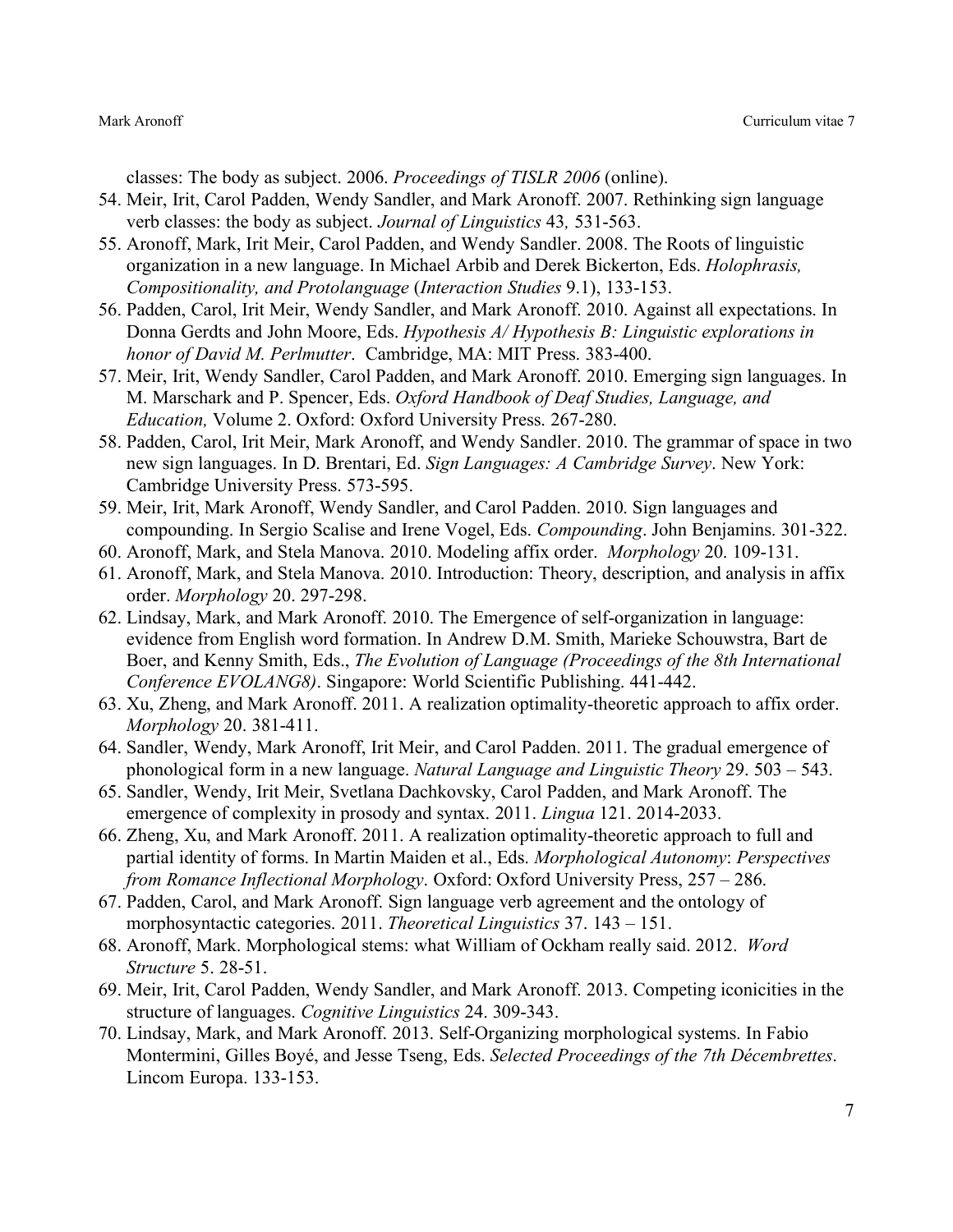classes: The body as subject. 2006. *Proceedings of TISLR 2006* (online).

- 54. Meir, Irit, Carol Padden, Wendy Sandler, and Mark Aronoff. 2007. Rethinking sign language verb classes: the body as subject. *Journal of Linguistics* 43*,* 531-563.
- 55. Aronoff, Mark, Irit Meir, Carol Padden, and Wendy Sandler. 2008. The Roots of linguistic organization in a new language. In Michael Arbib and Derek Bickerton, Eds. *Holophrasis, Compositionality, and Protolanguage* (*Interaction Studies* 9.1), 133-153.
- 56. Padden, Carol, Irit Meir, Wendy Sandler, and Mark Aronoff. 2010. Against all expectations. In Donna Gerdts and John Moore, Eds. *Hypothesis A/ Hypothesis B: Linguistic explorations in honor of David M. Perlmutter*. Cambridge, MA: MIT Press. 383-400.
- 57. Meir, Irit, Wendy Sandler, Carol Padden, and Mark Aronoff. 2010. Emerging sign languages. In M. Marschark and P. Spencer, Eds. *Oxford Handbook of Deaf Studies, Language, and Education,* Volume 2. Oxford: Oxford University Press. 267-280.
- 58. Padden, Carol, Irit Meir, Mark Aronoff, and Wendy Sandler. 2010. The grammar of space in two new sign languages. In D. Brentari, Ed. *Sign Languages: A Cambridge Survey*. New York: Cambridge University Press. 573-595.
- 59. Meir, Irit, Mark Aronoff, Wendy Sandler, and Carol Padden. 2010. Sign languages and compounding. In Sergio Scalise and Irene Vogel, Eds. *Compounding*. John Benjamins. 301-322.
- 60. Aronoff, Mark, and Stela Manova. 2010. Modeling affix order. *Morphology* 20. 109-131.
- 61. Aronoff, Mark, and Stela Manova. 2010. Introduction: Theory, description, and analysis in affix order. *Morphology* 20. 297-298.
- 62. Lindsay, Mark, and Mark Aronoff. 2010. The Emergence of self-organization in language: evidence from English word formation. In Andrew D.M. Smith, Marieke Schouwstra, Bart de Boer, and Kenny Smith, Eds., *The Evolution of Language (Proceedings of the 8th International Conference EVOLANG8)*. Singapore: World Scientific Publishing. 441-442.
- 63. Xu, Zheng, and Mark Aronoff. 2011. A realization optimality-theoretic approach to affix order. *Morphology* 20. 381-411.
- 64. Sandler, Wendy, Mark Aronoff, Irit Meir, and Carol Padden. 2011. The gradual emergence of phonological form in a new language. *Natural Language and Linguistic Theory* 29. 503 – 543.
- 65. Sandler, Wendy, Irit Meir, Svetlana Dachkovsky, Carol Padden, and Mark Aronoff. The emergence of complexity in prosody and syntax. 2011. *Lingua* 121. 2014-2033.
- 66. Zheng, Xu, and Mark Aronoff. 2011. A realization optimality-theoretic approach to full and partial identity of forms. In Martin Maiden et al., Eds. *Morphological Autonomy*: *Perspectives from Romance Inflectional Morphology*. Oxford: Oxford University Press, 257 – 286.
- 67. Padden, Carol, and Mark Aronoff. Sign language verb agreement and the ontology of morphosyntactic categories. 2011. *Theoretical Linguistics* 37. 143 – 151.
- 68. Aronoff, Mark. Morphological stems: what William of Ockham really said. 2012. *Word Structure* 5. 28-51.
- 69. Meir, Irit, Carol Padden, Wendy Sandler, and Mark Aronoff. 2013. Competing iconicities in the structure of languages. *Cognitive Linguistics* 24. 309-343.
- 70. Lindsay, Mark, and Mark Aronoff. 2013. Self-Organizing morphological systems. In Fabio Montermini, Gilles Boyé, and Jesse Tseng, Eds. *Selected Proceedings of the 7th Décembrettes*. Lincom Europa. 133-153.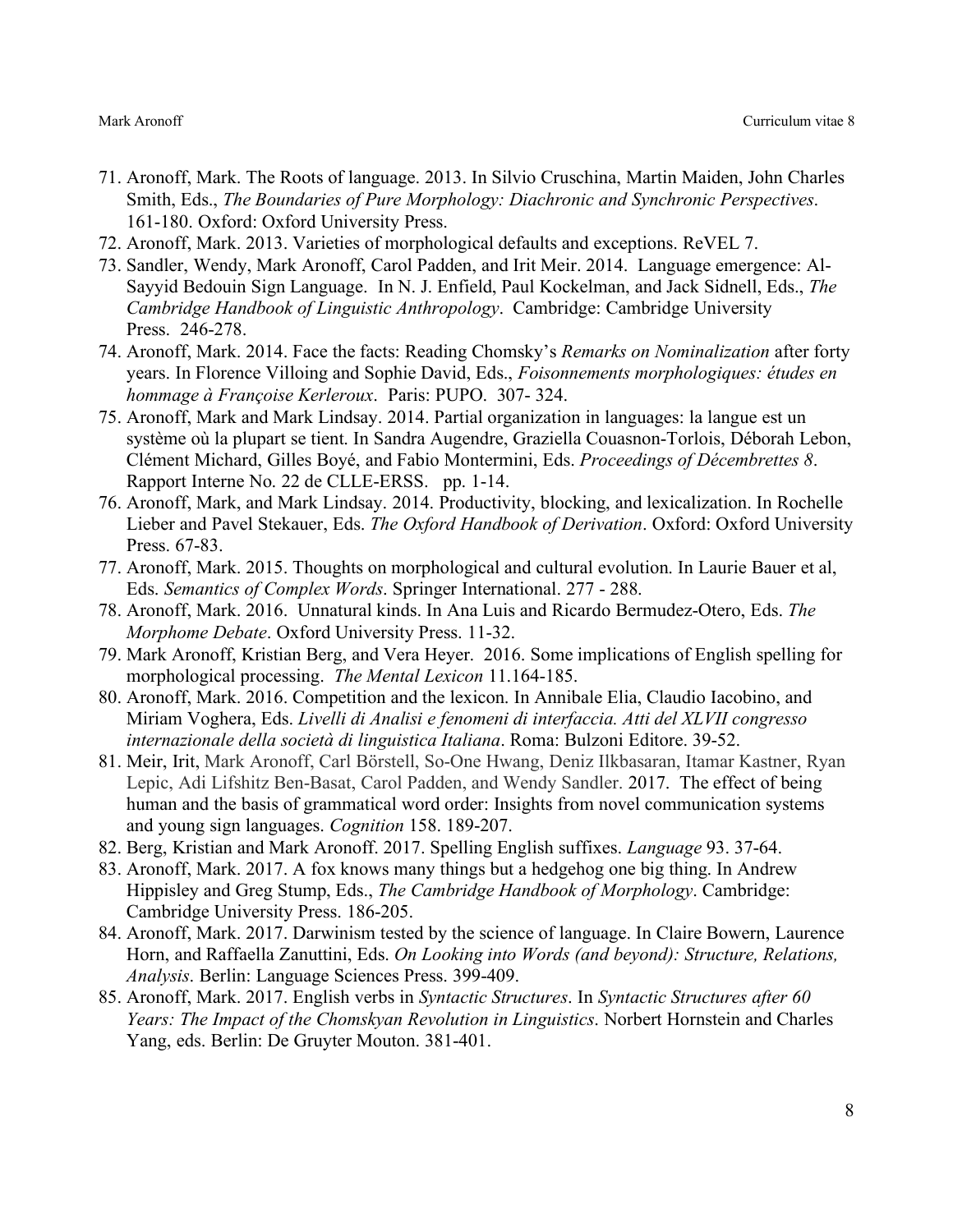- 71. Aronoff, Mark. The Roots of language. 2013. In Silvio Cruschina, Martin Maiden, John Charles Smith, Eds., *The Boundaries of Pure Morphology: Diachronic and Synchronic Perspectives*. 161-180. Oxford: Oxford University Press.
- 72. Aronoff, Mark. 2013. Varieties of morphological defaults and exceptions. ReVEL 7.
- 73. Sandler, Wendy, Mark Aronoff, Carol Padden, and Irit Meir. 2014. Language emergence: Al-Sayyid Bedouin Sign Language. In N. J. Enfield, Paul Kockelman, and Jack Sidnell, Eds., *The Cambridge Handbook of Linguistic Anthropology*. Cambridge: Cambridge University Press. 246-278.
- 74. Aronoff, Mark. 2014. Face the facts: Reading Chomsky's *Remarks on Nominalization* after forty years. In Florence Villoing and Sophie David, Eds., *Foisonnements morphologiques: études en hommage à Françoise Kerleroux*. Paris: PUPO. 307- 324.
- 75. Aronoff, Mark and Mark Lindsay. 2014. Partial organization in languages: la langue est un système où la plupart se tient. In Sandra Augendre, Graziella Couasnon-Torlois, Déborah Lebon, Clément Michard, Gilles Boyé, and Fabio Montermini, Eds. *Proceedings of Décembrettes 8*. Rapport Interne No. 22 de CLLE-ERSS. pp. 1-14.
- 76. Aronoff, Mark, and Mark Lindsay. 2014. Productivity, blocking, and lexicalization. In Rochelle Lieber and Pavel Stekauer, Eds. *The Oxford Handbook of Derivation*. Oxford: Oxford University Press. 67-83.
- 77. Aronoff, Mark. 2015. Thoughts on morphological and cultural evolution. In Laurie Bauer et al, Eds. *Semantics of Complex Words*. Springer International. 277 - 288.
- 78. Aronoff, Mark. 2016. Unnatural kinds. In Ana Luis and Ricardo Bermudez-Otero, Eds. *The Morphome Debate*. Oxford University Press. 11-32.
- 79. Mark Aronoff, Kristian Berg, and Vera Heyer. 2016. Some implications of English spelling for morphological processing. *The Mental Lexicon* 11.164-185.
- 80. Aronoff, Mark. 2016. Competition and the lexicon. In Annibale Elia, Claudio Iacobino, and Miriam Voghera, Eds. *Livelli di Analisi e fenomeni di interfaccia. Atti del XLVII congresso internazionale della società di linguistica Italiana*. Roma: Bulzoni Editore. 39-52.
- 81. Meir, Irit, Mark Aronoff, Carl Börstell, So-One Hwang, Deniz Ilkbasaran, Itamar Kastner, Ryan Lepic, Adi Lifshitz Ben-Basat, Carol Padden, and Wendy Sandler. 2017. The effect of being human and the basis of grammatical word order: Insights from novel communication systems and young sign languages. *Cognition* 158. 189-207.
- 82. Berg, Kristian and Mark Aronoff. 2017. Spelling English suffixes. *Language* 93. 37-64.
- 83. Aronoff, Mark. 2017. A fox knows many things but a hedgehog one big thing. In Andrew Hippisley and Greg Stump, Eds., *The Cambridge Handbook of Morphology*. Cambridge: Cambridge University Press. 186-205.
- 84. Aronoff, Mark. 2017. Darwinism tested by the science of language. In Claire Bowern, Laurence Horn, and Raffaella Zanuttini, Eds. *On Looking into Words (and beyond): Structure, Relations, Analysis*. Berlin: Language Sciences Press. 399-409.
- 85. Aronoff, Mark. 2017. English verbs in *Syntactic Structures*. In *Syntactic Structures after 60 Years: The Impact of the Chomskyan Revolution in Linguistics*. Norbert Hornstein and Charles Yang, eds. Berlin: De Gruyter Mouton. 381-401.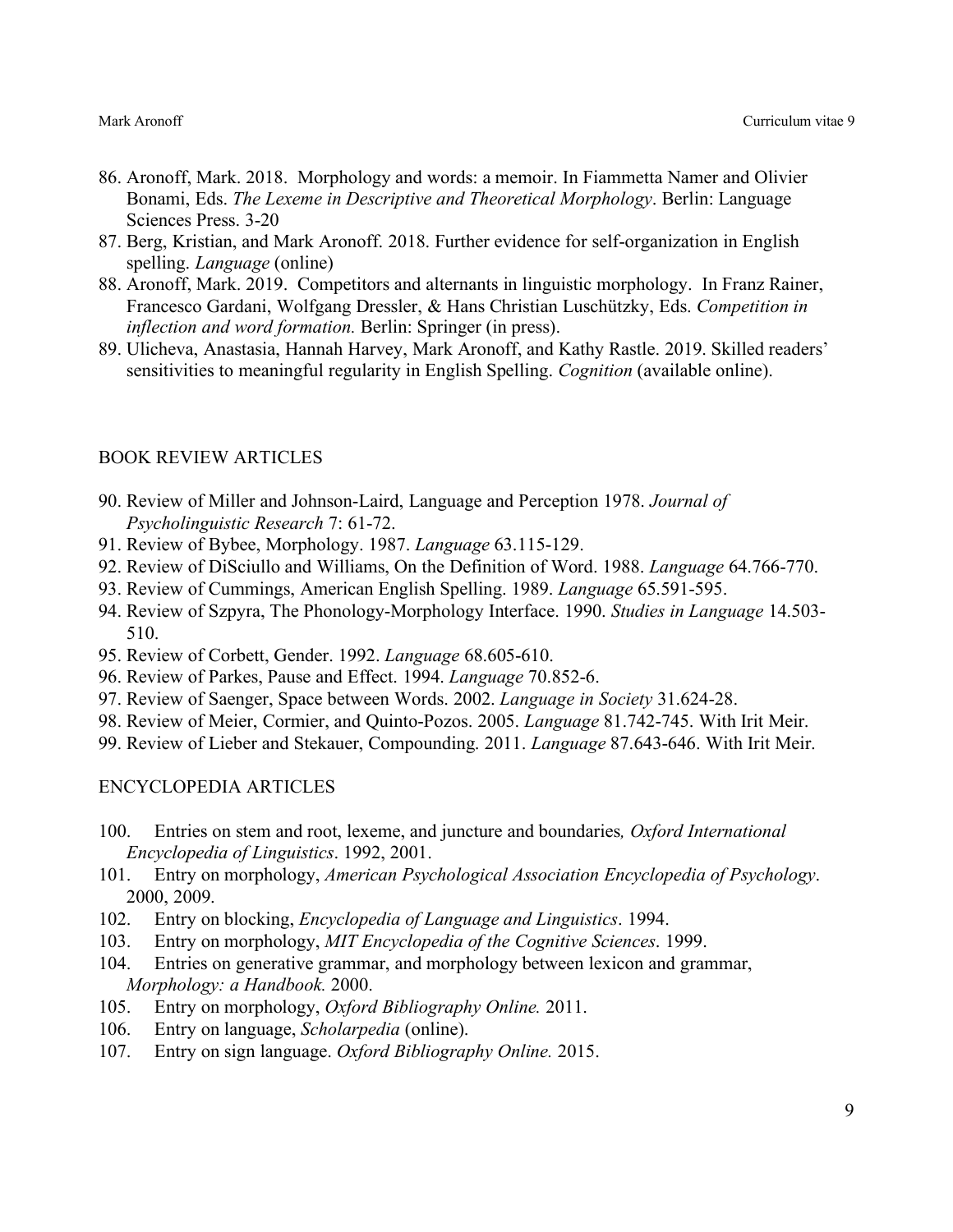- 86. Aronoff, Mark. 2018. Morphology and words: a memoir. In Fiammetta Namer and Olivier Bonami, Eds. *The Lexeme in Descriptive and Theoretical Morphology*. Berlin: Language Sciences Press. 3-20
- 87. Berg, Kristian, and Mark Aronoff. 2018. Further evidence for self-organization in English spelling. *Language* (online)
- 88. Aronoff, Mark. 2019. Competitors and alternants in linguistic morphology. In Franz Rainer, Francesco Gardani, Wolfgang Dressler, & Hans Christian Luschützky, Eds. *Competition in inflection and word formation.* Berlin: Springer (in press).
- 89. Ulicheva, Anastasia, Hannah Harvey, Mark Aronoff, and Kathy Rastle. 2019. Skilled readers' sensitivities to meaningful regularity in English Spelling. *Cognition* (available online).

# BOOK REVIEW ARTICLES

- 90. Review of Miller and Johnson-Laird, Language and Perception 1978. *Journal of Psycholinguistic Research* 7: 61-72.
- 91. Review of Bybee, Morphology. 1987. *Language* 63.115-129.
- 92. Review of DiSciullo and Williams, On the Definition of Word. 1988. *Language* 64.766-770.
- 93. Review of Cummings, American English Spelling. 1989. *Language* 65.591-595.
- 94. Review of Szpyra, The Phonology-Morphology Interface. 1990. *Studies in Language* 14.503- 510.
- 95. Review of Corbett, Gender. 1992. *Language* 68.605-610.
- 96. Review of Parkes, Pause and Effect. 1994. *Language* 70.852-6.
- 97. Review of Saenger, Space between Words. 2002. *Language in Society* 31.624-28.
- 98. Review of Meier, Cormier, and Quinto-Pozos. 2005. *Language* 81.742-745. With Irit Meir.
- 99. Review of Lieber and Stekauer, Compounding. 2011. *Language* 87.643-646. With Irit Meir.

# ENCYCLOPEDIA ARTICLES

- 100. Entries on stem and root, lexeme, and juncture and boundaries*, Oxford International Encyclopedia of Linguistics*. 1992, 2001.
- 101. Entry on morphology, *American Psychological Association Encyclopedia of Psychology*. 2000, 2009.
- 102. Entry on blocking, *Encyclopedia of Language and Linguistics*. 1994.
- 103. Entry on morphology, *MIT Encyclopedia of the Cognitive Sciences*. 1999.
- 104. Entries on generative grammar, and morphology between lexicon and grammar, *Morphology: a Handbook.* 2000.
- 105. Entry on morphology, *Oxford Bibliography Online.* 2011.
- 106. Entry on language, *Scholarpedia* (online).
- 107. Entry on sign language. *Oxford Bibliography Online.* 2015.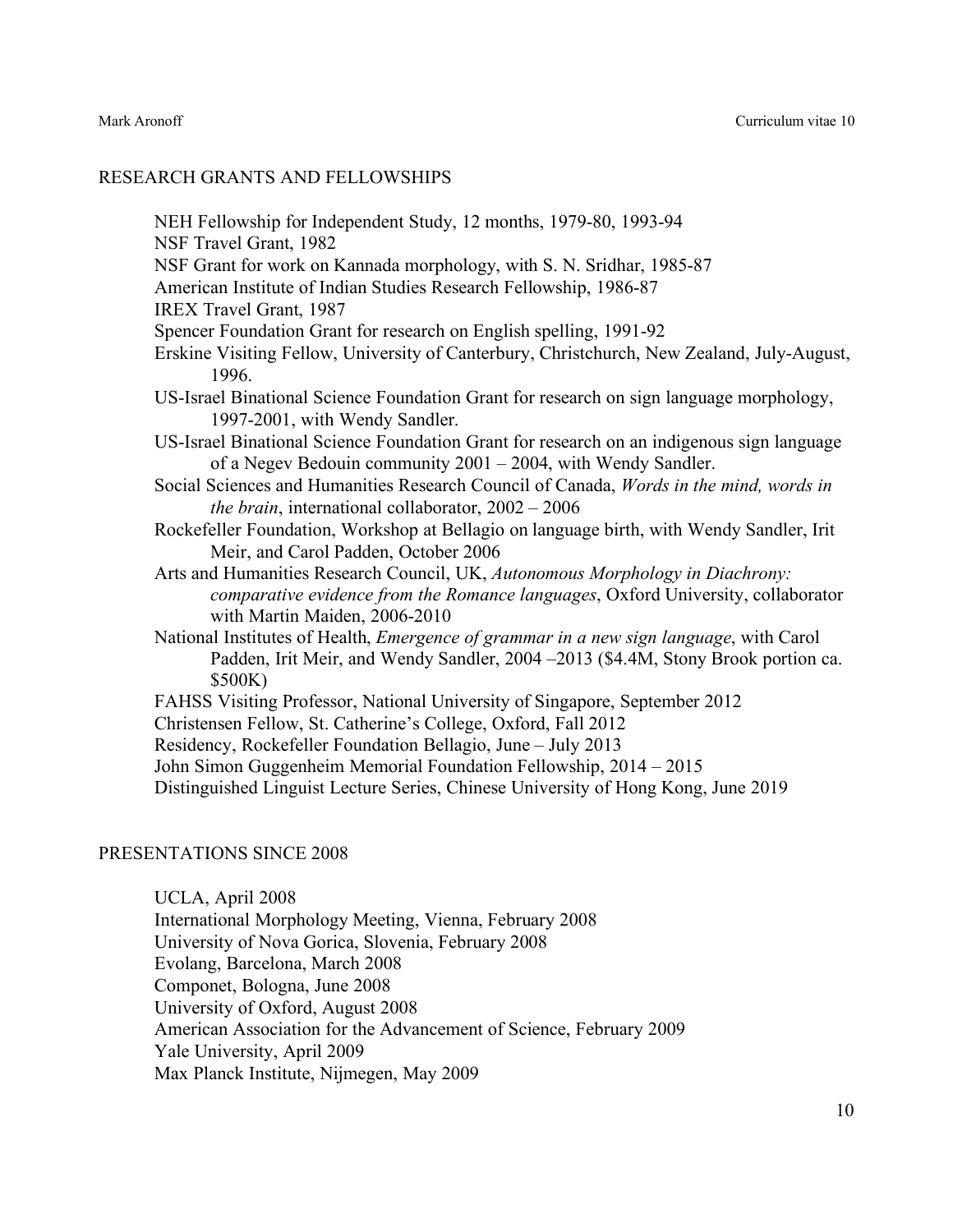## RESEARCH GRANTS AND FELLOWSHIPS

NEH Fellowship for Independent Study, 12 months, 1979-80, 1993-94 NSF Travel Grant, 1982 NSF Grant for work on Kannada morphology, with S. N. Sridhar, 1985-87 American Institute of Indian Studies Research Fellowship, 1986-87 IREX Travel Grant, 1987 Spencer Foundation Grant for research on English spelling, 1991-92 Erskine Visiting Fellow, University of Canterbury, Christchurch, New Zealand, July-August, 1996. US-Israel Binational Science Foundation Grant for research on sign language morphology, 1997-2001, with Wendy Sandler. US-Israel Binational Science Foundation Grant for research on an indigenous sign language of a Negev Bedouin community 2001 – 2004, with Wendy Sandler. Social Sciences and Humanities Research Council of Canada, *Words in the mind, words in the brain*, international collaborator, 2002 – 2006 Rockefeller Foundation, Workshop at Bellagio on language birth, with Wendy Sandler, Irit Meir, and Carol Padden, October 2006 Arts and Humanities Research Council, UK, *Autonomous Morphology in Diachrony: comparative evidence from the Romance languages*, Oxford University, collaborator with Martin Maiden, 2006-2010 National Institutes of Health, *Emergence of grammar in a new sign language*, with Carol Padden, Irit Meir, and Wendy Sandler, 2004 –2013 (\$4.4M, Stony Brook portion ca. \$500K) FAHSS Visiting Professor, National University of Singapore, September 2012 Christensen Fellow, St. Catherine's College, Oxford, Fall 2012 Residency, Rockefeller Foundation Bellagio, June – July 2013 John Simon Guggenheim Memorial Foundation Fellowship, 2014 – 2015 Distinguished Linguist Lecture Series, Chinese University of Hong Kong, June 2019

## PRESENTATIONS SINCE 2008

UCLA, April 2008 International Morphology Meeting, Vienna, February 2008 University of Nova Gorica, Slovenia, February 2008 Evolang, Barcelona, March 2008 Componet, Bologna, June 2008 University of Oxford, August 2008 American Association for the Advancement of Science, February 2009 Yale University, April 2009 Max Planck Institute, Nijmegen, May 2009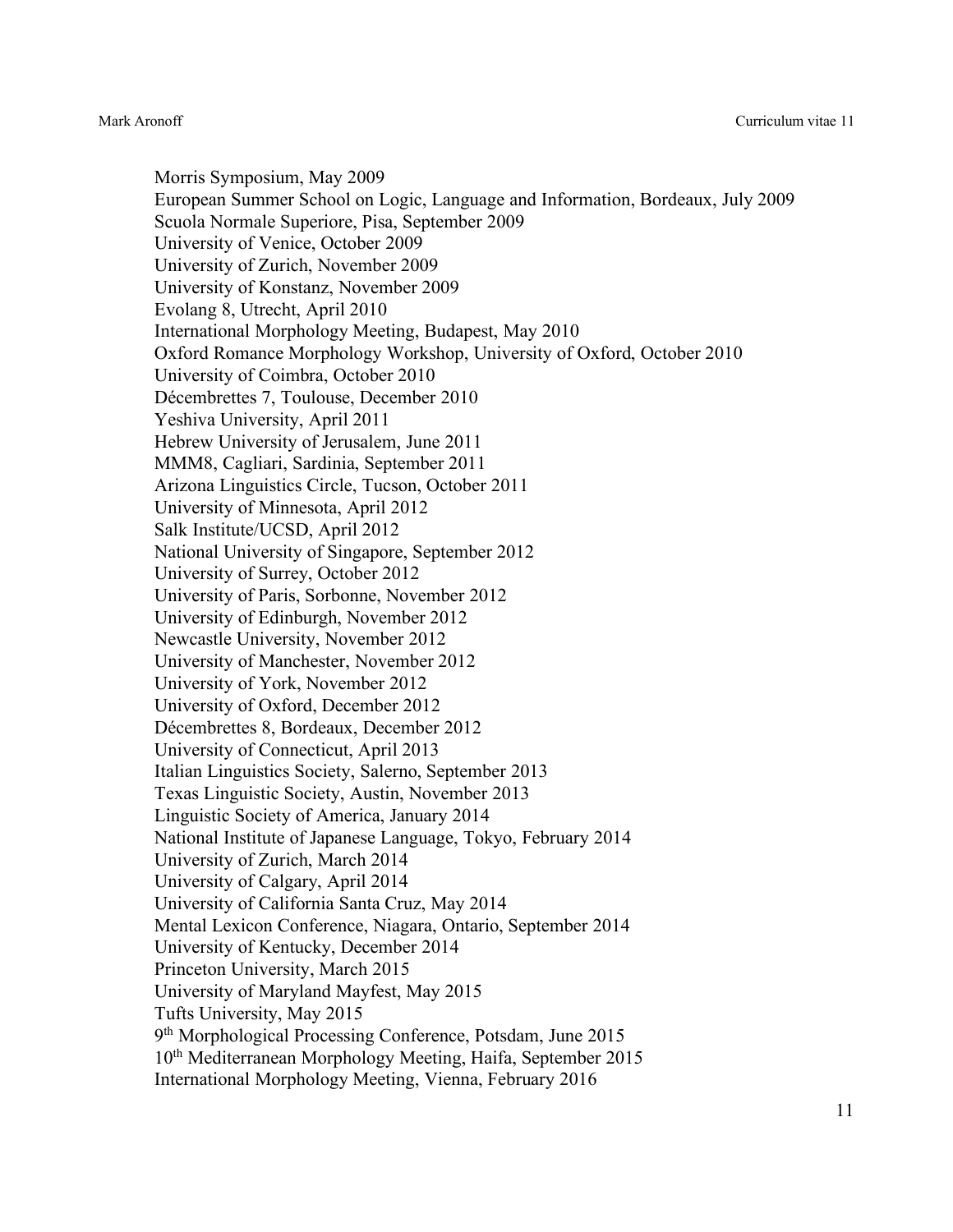Morris Symposium, May 2009 European Summer School on Logic, Language and Information, Bordeaux, July 2009 Scuola Normale Superiore, Pisa, September 2009 University of Venice, October 2009 University of Zurich, November 2009 University of Konstanz, November 2009 Evolang 8, Utrecht, April 2010 International Morphology Meeting, Budapest, May 2010 Oxford Romance Morphology Workshop, University of Oxford, October 2010 University of Coimbra, October 2010 Décembrettes 7, Toulouse, December 2010 Yeshiva University, April 2011 Hebrew University of Jerusalem, June 2011 MMM8, Cagliari, Sardinia, September 2011 Arizona Linguistics Circle, Tucson, October 2011 University of Minnesota, April 2012 Salk Institute/UCSD, April 2012 National University of Singapore, September 2012 University of Surrey, October 2012 University of Paris, Sorbonne, November 2012 University of Edinburgh, November 2012 Newcastle University, November 2012 University of Manchester, November 2012 University of York, November 2012 University of Oxford, December 2012 Décembrettes 8, Bordeaux, December 2012 University of Connecticut, April 2013 Italian Linguistics Society, Salerno, September 2013 Texas Linguistic Society, Austin, November 2013 Linguistic Society of America, January 2014 National Institute of Japanese Language, Tokyo, February 2014 University of Zurich, March 2014 University of Calgary, April 2014 University of California Santa Cruz, May 2014 Mental Lexicon Conference, Niagara, Ontario, September 2014 University of Kentucky, December 2014 Princeton University, March 2015 University of Maryland Mayfest, May 2015 Tufts University, May 2015 9th Morphological Processing Conference, Potsdam, June 2015 10th Mediterranean Morphology Meeting, Haifa, September 2015 International Morphology Meeting, Vienna, February 2016